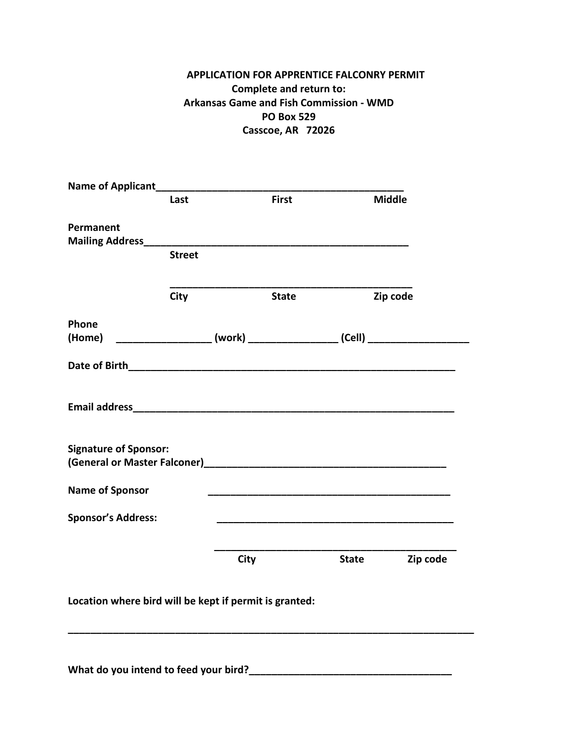## **APPLICATION FOR APPRENTICE FALCONRY PERMIT Complete and return to: Arkansas Game and Fish Commission - WMD PO Box 529 Casscoe, AR 72026**

| Name of Applicant_           |               |                                                                                  |               |          |
|------------------------------|---------------|----------------------------------------------------------------------------------|---------------|----------|
|                              | Last          | <b>First</b>                                                                     | <b>Middle</b> |          |
| Permanent                    |               |                                                                                  |               |          |
|                              | <b>Street</b> |                                                                                  |               |          |
|                              | <b>City</b>   | <b>State</b>                                                                     |               | Zip code |
| Phone                        |               |                                                                                  |               |          |
|                              |               | (Home) ____________________ (work) __________________ (Cell) ___________________ |               |          |
|                              |               |                                                                                  |               |          |
|                              |               |                                                                                  |               |          |
| <b>Signature of Sponsor:</b> |               |                                                                                  |               |          |
| <b>Name of Sponsor</b>       |               |                                                                                  |               |          |
| <b>Sponsor's Address:</b>    |               |                                                                                  |               |          |
|                              |               | <b>City</b>                                                                      | <b>State</b>  | Zip code |
|                              |               | Location where bird will be kept if permit is granted:                           |               |          |

**What do you intend to feed your bird?\_\_\_\_\_\_\_\_\_\_\_\_\_\_\_\_\_\_\_\_\_\_\_\_\_\_\_\_\_\_\_\_\_\_\_\_**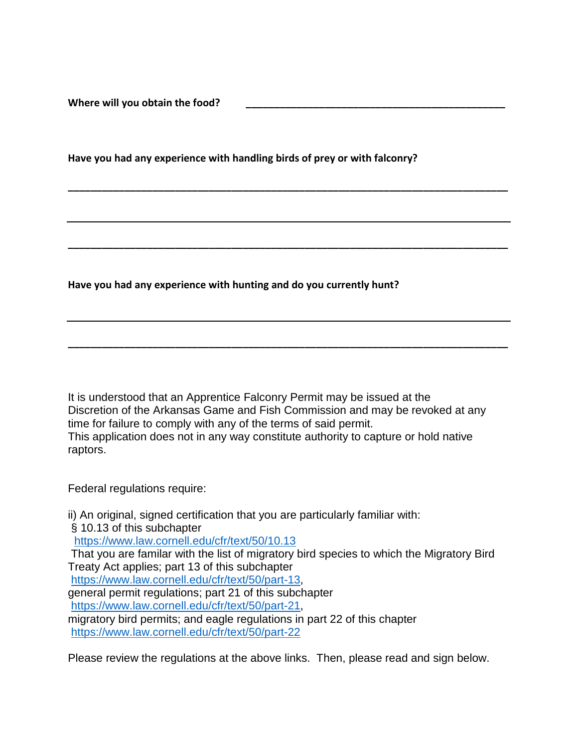Where will you obtain the food?

**Have you had any experience with handling birds of prey or with falconry?** 

**\_\_\_\_\_\_\_\_\_\_\_\_\_\_\_\_\_\_\_\_\_\_\_\_\_\_\_\_\_\_\_\_\_\_\_\_\_\_\_\_\_\_\_\_\_\_\_\_\_\_\_\_\_\_\_\_\_\_\_\_\_\_\_\_\_\_\_\_\_\_\_\_\_\_\_\_\_\_**

**\_\_\_\_\_\_\_\_\_\_\_\_\_\_\_\_\_\_\_\_\_\_\_\_\_\_\_\_\_\_\_\_\_\_\_\_\_\_\_\_\_\_\_\_\_\_\_\_\_\_\_\_\_\_\_\_\_\_\_\_\_\_\_\_\_\_\_\_\_\_\_\_\_\_\_\_\_\_**

**\_\_\_\_\_\_\_\_\_\_\_\_\_\_\_\_\_\_\_\_\_\_\_\_\_\_\_\_\_\_\_\_\_\_\_\_\_\_\_\_\_\_\_\_\_\_\_\_\_\_\_\_\_\_\_\_\_\_\_\_\_\_\_\_\_\_\_\_\_\_\_\_\_\_\_\_\_\_**

**Have you had any experience with hunting and do you currently hunt?**

It is understood that an Apprentice Falconry Permit may be issued at the Discretion of the Arkansas Game and Fish Commission and may be revoked at any time for failure to comply with any of the terms of said permit. This application does not in any way constitute authority to capture or hold native raptors.

Federal regulations require:

ii) An original, signed certification that you are particularly familiar with: § 10.13 of this subchapter <https://www.law.cornell.edu/cfr/text/50/10.13> That you are familar with the list of migratory bird species to which the Migratory Bird Treaty Act applies; part 13 of this subchapter [https://www.law.cornell.edu/cfr/text/50/part-13,](https://www.law.cornell.edu/cfr/text/50/part-13) general permit regulations; part 21 of this subchapter [https://www.law.cornell.edu/cfr/text/50/part-21,](https://www.law.cornell.edu/cfr/text/50/part-21) migratory bird permits; and eagle regulations in part 22 of this chapter <https://www.law.cornell.edu/cfr/text/50/part-22>

Please review the regulations at the above links. Then, please read and sign below.